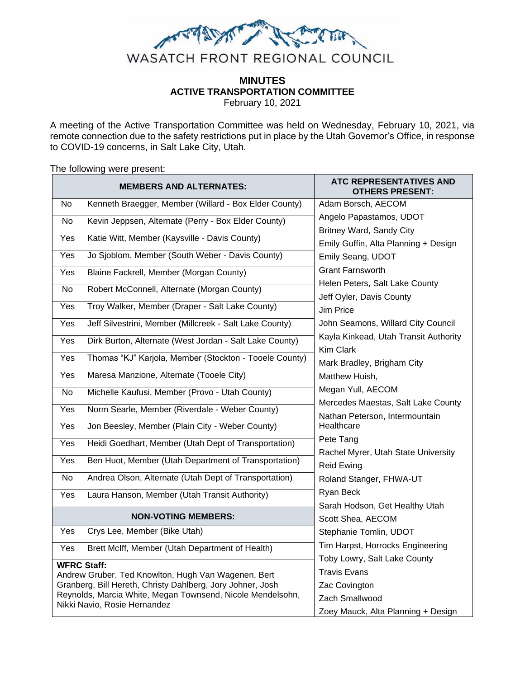

# **MINUTES ACTIVE TRANSPORTATION COMMITTEE**

February 10, 2021

A meeting of the Active Transportation Committee was held on Wednesday, February 10, 2021, via remote connection due to the safety restrictions put in place by the Utah Governor's Office, in response to COVID-19 concerns, in Salt Lake City, Utah.

#### The following were present:

| <b>MEMBERS AND ALTERNATES:</b>                             |                                                                                                                   | <b>ATC REPRESENTATIVES AND</b><br><b>OTHERS PRESENT:</b> |
|------------------------------------------------------------|-------------------------------------------------------------------------------------------------------------------|----------------------------------------------------------|
| No                                                         | Kenneth Braegger, Member (Willard - Box Elder County)                                                             | Adam Borsch, AECOM                                       |
| No                                                         | Kevin Jeppsen, Alternate (Perry - Box Elder County)                                                               | Angelo Papastamos, UDOT                                  |
| Yes                                                        | Katie Witt, Member (Kaysville - Davis County)                                                                     | <b>Britney Ward, Sandy City</b>                          |
|                                                            |                                                                                                                   | Emily Guffin, Alta Planning + Design                     |
| Yes                                                        | Jo Sjoblom, Member (South Weber - Davis County)                                                                   | Emily Seang, UDOT                                        |
| <b>Yes</b>                                                 | Blaine Fackrell, Member (Morgan County)                                                                           | <b>Grant Farnsworth</b>                                  |
| No                                                         | Robert McConnell, Alternate (Morgan County)                                                                       | Helen Peters, Salt Lake County                           |
| Yes                                                        | Troy Walker, Member (Draper - Salt Lake County)                                                                   | Jeff Oyler, Davis County                                 |
|                                                            |                                                                                                                   | Jim Price                                                |
| Yes                                                        | Jeff Silvestrini, Member (Millcreek - Salt Lake County)                                                           | John Seamons, Willard City Council                       |
| Yes                                                        | Dirk Burton, Alternate (West Jordan - Salt Lake County)                                                           | Kayla Kinkead, Utah Transit Authority                    |
| Yes                                                        | Thomas "KJ" Karjola, Member (Stockton - Tooele County)                                                            | Kim Clark                                                |
|                                                            |                                                                                                                   | Mark Bradley, Brigham City                               |
| Yes                                                        | Maresa Manzione, Alternate (Tooele City)                                                                          | Matthew Huish,                                           |
| <b>No</b>                                                  | Michelle Kaufusi, Member (Provo - Utah County)                                                                    | Megan Yull, AECOM                                        |
| Yes                                                        | Norm Searle, Member (Riverdale - Weber County)                                                                    | Mercedes Maestas, Salt Lake County                       |
| Yes                                                        | Jon Beesley, Member (Plain City - Weber County)                                                                   | Nathan Peterson, Intermountain<br>Healthcare             |
|                                                            |                                                                                                                   | Pete Tang                                                |
| Yes                                                        | Heidi Goedhart, Member (Utah Dept of Transportation)                                                              | Rachel Myrer, Utah State University                      |
| Yes                                                        | Ben Huot, Member (Utah Department of Transportation)                                                              | <b>Reid Ewing</b>                                        |
| <b>No</b>                                                  | Andrea Olson, Alternate (Utah Dept of Transportation)                                                             | Roland Stanger, FHWA-UT                                  |
|                                                            |                                                                                                                   | Ryan Beck                                                |
| <b>Yes</b>                                                 | Laura Hanson, Member (Utah Transit Authority)                                                                     | Sarah Hodson, Get Healthy Utah                           |
| <b>NON-VOTING MEMBERS:</b>                                 |                                                                                                                   | Scott Shea, AECOM                                        |
| Yes                                                        | Crys Lee, Member (Bike Utah)                                                                                      | Stephanie Tomlin, UDOT                                   |
|                                                            |                                                                                                                   | Tim Harpst, Horrocks Engineering                         |
| Yes                                                        | Brett McIff, Member (Utah Department of Health)                                                                   | Toby Lowry, Salt Lake County                             |
| <b>WFRC Staff:</b>                                         |                                                                                                                   | <b>Travis Evans</b>                                      |
|                                                            | Andrew Gruber, Ted Knowlton, Hugh Van Wagenen, Bert<br>Granberg, Bill Hereth, Christy Dahlberg, Jory Johner, Josh | Zac Covington                                            |
| Reynolds, Marcia White, Megan Townsend, Nicole Mendelsohn, |                                                                                                                   | Zach Smallwood                                           |
| Nikki Navio, Rosie Hernandez                               |                                                                                                                   | Zoey Mauck, Alta Planning + Design                       |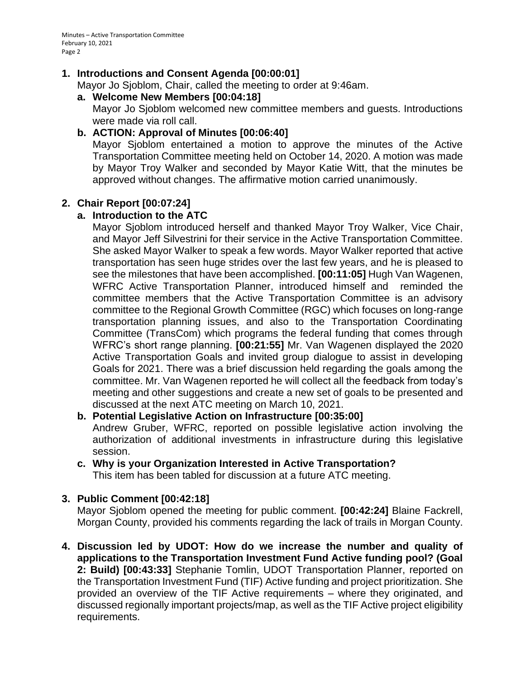### **1. Introductions and Consent Agenda [00:00:01]**

Mayor Jo Sjoblom, Chair, called the meeting to order at 9:46am.

### **a. Welcome New Members [00:04:18]**

Mayor Jo Sjoblom welcomed new committee members and guests. Introductions were made via roll call.

### **b. ACTION: Approval of Minutes [00:06:40]**

Mayor Sjoblom entertained a motion to approve the minutes of the Active Transportation Committee meeting held on October 14, 2020. A motion was made by Mayor Troy Walker and seconded by Mayor Katie Witt, that the minutes be approved without changes. The affirmative motion carried unanimously.

### **2. Chair Report [00:07:24]**

### **a. Introduction to the ATC**

Mayor Sjoblom introduced herself and thanked Mayor Troy Walker, Vice Chair, and Mayor Jeff Silvestrini for their service in the Active Transportation Committee. She asked Mayor Walker to speak a few words. Mayor Walker reported that active transportation has seen huge strides over the last few years, and he is pleased to see the milestones that have been accomplished. **[00:11:05]** Hugh Van Wagenen, WFRC Active Transportation Planner, introduced himself and reminded the committee members that the Active Transportation Committee is an advisory committee to the Regional Growth Committee (RGC) which focuses on long-range transportation planning issues, and also to the Transportation Coordinating Committee (TransCom) which programs the federal funding that comes through WFRC's short range planning. **[00:21:55]** Mr. Van Wagenen displayed the 2020 Active Transportation Goals and invited group dialogue to assist in developing Goals for 2021. There was a brief discussion held regarding the goals among the committee. Mr. Van Wagenen reported he will collect all the feedback from today's meeting and other suggestions and create a new set of goals to be presented and discussed at the next ATC meeting on March 10, 2021.

### **b. Potential Legislative Action on Infrastructure [00:35:00]** Andrew Gruber, WFRC, reported on possible legislative action involving the authorization of additional investments in infrastructure during this legislative session.

**c. Why is your Organization Interested in Active Transportation?** This item has been tabled for discussion at a future ATC meeting.

### **3. Public Comment [00:42:18]**

Mayor Sjoblom opened the meeting for public comment. **[00:42:24]** Blaine Fackrell, Morgan County, provided his comments regarding the lack of trails in Morgan County.

**4. Discussion led by UDOT: How do we increase the number and quality of applications to the Transportation Investment Fund Active funding pool? (Goal 2: Build) [00:43:33]** Stephanie Tomlin, UDOT Transportation Planner, reported on the Transportation Investment Fund (TIF) Active funding and project prioritization. She provided an overview of the TIF Active requirements – where they originated, and discussed regionally important projects/map, as well as the TIF Active project eligibility requirements.